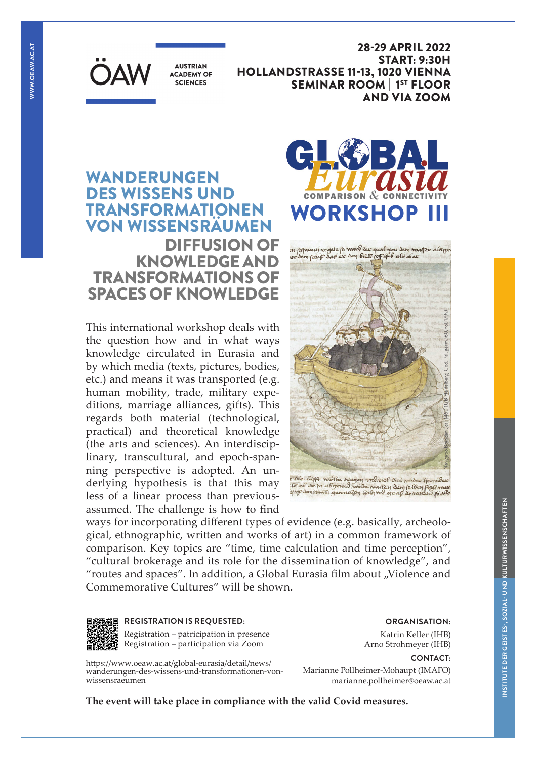

**AUSTRIAN ACADEMY OF SCIENCES** 

28-29 APRIL 2022 START: 9:30H HOLLANDSTRASSE 11-13, 1020 VIENNA SEMINAR ROOM | 1ST FLOOR AND VIA ZOOM

# WANDERUNGEN DES WISSENS UND TRANSFORMATIONEN VON WISSENSRÄUMEN DIFFUSION OF KNOWLEDGE AND TRANSFORMATIONS OF SPACES OF KNOWLEDGE

This international workshop deals with the question how and in what ways knowledge circulated in Eurasia and by which media (texts, pictures, bodies, etc.) and means it was transported (e.g. human mobility, trade, military expeditions, marriage alliances, gifts). This regards both material (technological, practical) and theoretical knowledge (the arts and sciences). An interdisciplinary, transcultural, and epoch-spanning perspective is adopted. An underlying hypothesis is that this may the form of the conservation of the modern fermiless<br>local of a linear process than previous- of the degree of gradient of the context demperature of a linear process than previously less of a linear process than previousassumed. The challenge is how to find



on popmany regete p manog der qual nan dem magper alogre<br>vor dem popip dao ex dem bielt pop qub alo ober Navigatio Brendani, ca. 1460 (UB Heidelberg, Cod. Pal. germ. 60, fol. 179v)

ways for incorporating different types of evidence (e.g. basically, archeological, ethnographic, written and works of art) in a common framework of comparison. Key topics are "time, time calculation and time perception", "cultural brokerage and its role for the dissemination of knowledge", and "routes and spaces". In addition, a Global Eurasia film about "Violence and Commemorative Cultures" will be shown.



## **REGISTRATION IS REQUESTED:**

Registration – patricipation in presence Registration – participation via Zoom

https://www.oeaw.ac.at/global-eurasia/detail/news/ wanderungen-des-wissens-und-transformationen-vonwissensraeumen

**ORGANISATION:**  Katrin Keller (IHB)

**CONTACT:**  Arno Strohmeyer (IHB)

Marianne Pollheimer-Mohaupt (IMAFO) marianne.pollheimer@oeaw.ac.at

**The event will take place in compliance with the valid Covid measures.**